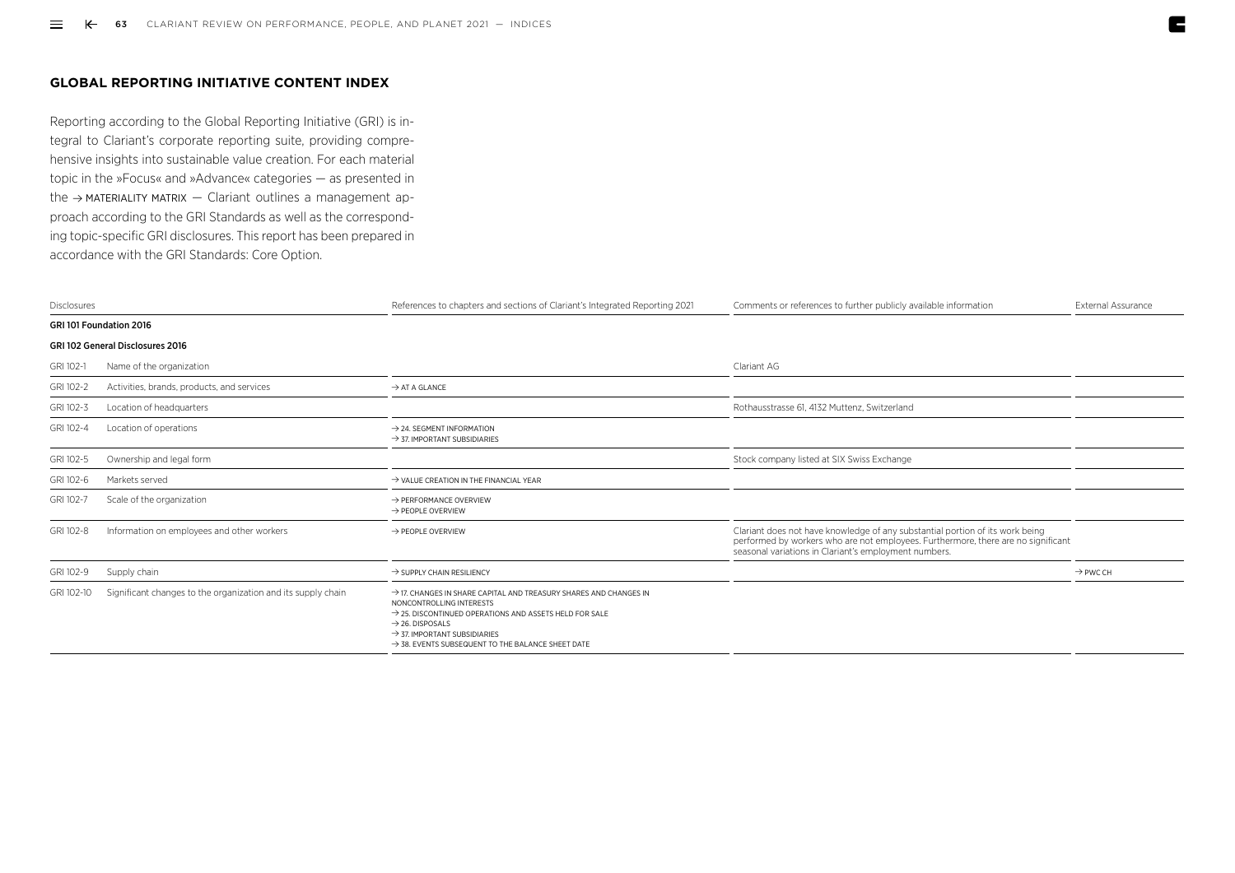## **GLOBAL REPORTING INITIATIVE CONTENT INDEX**

Reporting according to the Global Reporting Initiative (GRI) is integral to Clariant's corporate reporting suite, providing comprehensive insights into sustainable value creation. For each material topic in the »Focus« and »Advance« categories — as presented in the  $\rightarrow$  [MATERIALITY MATRIX](https://reports.clariant.com/short/2021/en/Figure016en)  $-$  Clariant outlines a management approach according to the GRI Standards as well as the corresponding topic-specific GRI disclosures. This report has been prepared in accordance with the GRI Standards: Core Option.

| Disclosures |                                                              | References to chapters and sections of Clariant's Integrated Reporting 2021                                                                                                                                                                                                                                                 | Comments or references to further publicly available information                                                                                                                                                            | External Assurance   |
|-------------|--------------------------------------------------------------|-----------------------------------------------------------------------------------------------------------------------------------------------------------------------------------------------------------------------------------------------------------------------------------------------------------------------------|-----------------------------------------------------------------------------------------------------------------------------------------------------------------------------------------------------------------------------|----------------------|
|             | GRI 101 Foundation 2016                                      |                                                                                                                                                                                                                                                                                                                             |                                                                                                                                                                                                                             |                      |
|             | <b>GRI 102 General Disclosures 2016</b>                      |                                                                                                                                                                                                                                                                                                                             |                                                                                                                                                                                                                             |                      |
| GRI 102-1   | Name of the organization                                     |                                                                                                                                                                                                                                                                                                                             | Clariant AG                                                                                                                                                                                                                 |                      |
| GRI 102-2   | Activities, brands, products, and services                   | $\rightarrow$ AT A GLANCE                                                                                                                                                                                                                                                                                                   |                                                                                                                                                                                                                             |                      |
| GRI 102-3   | Location of headquarters                                     |                                                                                                                                                                                                                                                                                                                             | Rothausstrasse 61, 4132 Muttenz, Switzerland                                                                                                                                                                                |                      |
| GRI 102-4   | Location of operations                                       | $\rightarrow$ 24. SEGMENT INFORMATION<br>$\rightarrow$ 37. IMPORTANT SUBSIDIARIES                                                                                                                                                                                                                                           |                                                                                                                                                                                                                             |                      |
| GRI 102-5   | Ownership and legal form                                     |                                                                                                                                                                                                                                                                                                                             | Stock company listed at SIX Swiss Exchange                                                                                                                                                                                  |                      |
| GRI 102-6   | Markets served                                               | $\rightarrow$ VALUE CREATION IN THE FINANCIAL YEAR                                                                                                                                                                                                                                                                          |                                                                                                                                                                                                                             |                      |
| GRI 102-7   | Scale of the organization                                    | $\rightarrow$ PERFORMANCE OVERVIEW<br>$\rightarrow$ PEOPLE OVERVIEW                                                                                                                                                                                                                                                         |                                                                                                                                                                                                                             |                      |
| GRI 102-8   | Information on employees and other workers                   | $\rightarrow$ PEOPLE OVERVIEW                                                                                                                                                                                                                                                                                               | Clariant does not have knowledge of any substantial portion of its work being<br>performed by workers who are not employees. Furthermore, there are no significant<br>seasonal variations in Clariant's employment numbers. |                      |
| GRI 102-9   | Supply chain                                                 | $\rightarrow$ SUPPLY CHAIN RESILIENCY                                                                                                                                                                                                                                                                                       |                                                                                                                                                                                                                             | $\rightarrow$ PWC CH |
| GRI 102-10  | Significant changes to the organization and its supply chain | $\rightarrow$ 17. CHANGES IN SHARE CAPITAL AND TREASURY SHARES AND CHANGES IN<br>NONCONTROLLING INTERESTS<br>$\rightarrow$ 25. DISCONTINUED OPERATIONS AND ASSETS HELD FOR SALE<br>$\rightarrow$ 26. DISPOSALS<br>$\rightarrow$ 37. IMPORTANT SUBSIDIARIES<br>$\rightarrow$ 38. EVENTS SUBSEQUENT TO THE BALANCE SHEET DATE |                                                                                                                                                                                                                             |                      |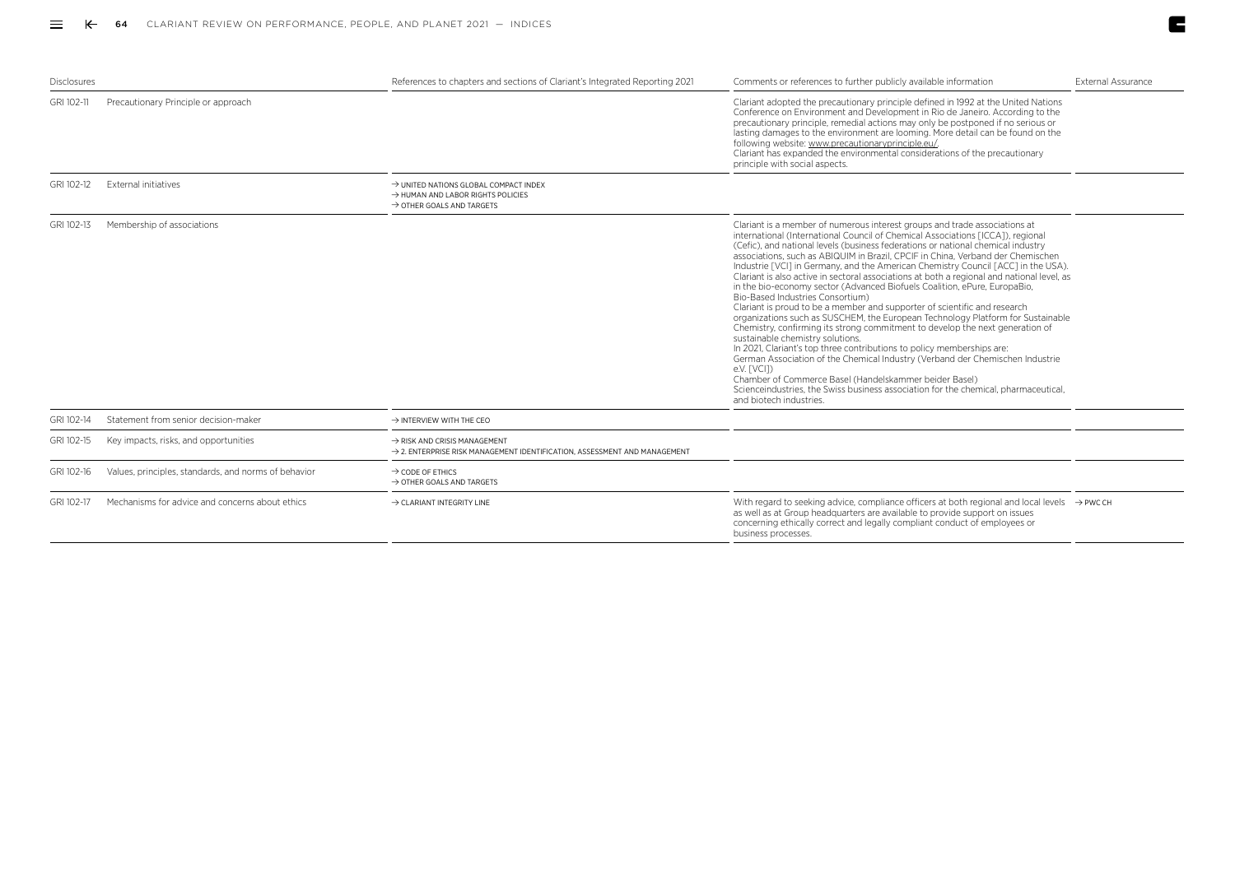$\sim$ 

| <b>Disclosures</b> |                                                      | References to chapters and sections of Clariant's Integrated Reporting 2021                                                       | Comments or references to further publicly available information                                                                                                                                                                                                                                                                                                                                                                                                                                                                                                                                                                                                                                                                                                                                                                                                                                                                                                                                                                                                                                                                                                                                                                                                                    | External Assurance |
|--------------------|------------------------------------------------------|-----------------------------------------------------------------------------------------------------------------------------------|-------------------------------------------------------------------------------------------------------------------------------------------------------------------------------------------------------------------------------------------------------------------------------------------------------------------------------------------------------------------------------------------------------------------------------------------------------------------------------------------------------------------------------------------------------------------------------------------------------------------------------------------------------------------------------------------------------------------------------------------------------------------------------------------------------------------------------------------------------------------------------------------------------------------------------------------------------------------------------------------------------------------------------------------------------------------------------------------------------------------------------------------------------------------------------------------------------------------------------------------------------------------------------------|--------------------|
| GRI 102-11         | Precautionary Principle or approach                  |                                                                                                                                   | Clariant adopted the precautionary principle defined in 1992 at the United Nations<br>Conference on Environment and Development in Rio de Janeiro, According to the<br>precautionary principle, remedial actions may only be postponed if no serious or<br>lasting damages to the environment are looming. More detail can be found on the<br>following website: www.precautionaryprinciple.eu/.<br>Clariant has expanded the environmental considerations of the precautionary<br>principle with social aspects.                                                                                                                                                                                                                                                                                                                                                                                                                                                                                                                                                                                                                                                                                                                                                                   |                    |
| GRI 102-12         | External initiatives                                 | → UNITED NATIONS GLOBAL COMPACT INDEX<br>$\rightarrow$ HUMAN AND LABOR RIGHTS POLICIES<br>$\rightarrow$ OTHER GOALS AND TARGETS   |                                                                                                                                                                                                                                                                                                                                                                                                                                                                                                                                                                                                                                                                                                                                                                                                                                                                                                                                                                                                                                                                                                                                                                                                                                                                                     |                    |
| GRI 102-13         | Membership of associations                           |                                                                                                                                   | Clariant is a member of numerous interest groups and trade associations at<br>international (International Council of Chemical Associations [ICCA]), regional<br>(Cefic), and national levels (business federations or national chemical industry<br>associations, such as ABIQUIM in Brazil, CPCIF in China, Verband der Chemischen<br>Industrie [VCI] in Germany, and the American Chemistry Council [ACC] in the USA).<br>Clariant is also active in sectoral associations at both a regional and national level, as<br>in the bio-economy sector (Advanced Biofuels Coalition, ePure, EuropaBio,<br>Bio-Based Industries Consortium)<br>Clariant is proud to be a member and supporter of scientific and research<br>organizations such as SUSCHEM, the European Technology Platform for Sustainable<br>Chemistry, confirming its strong commitment to develop the next generation of<br>sustainable chemistry solutions.<br>In 2021, Clariant's top three contributions to policy memberships are:<br>German Association of the Chemical Industry (Verband der Chemischen Industrie<br>e.V. [VCI])<br>Chamber of Commerce Basel (Handelskammer beider Basel)<br>Scienceindustries, the Swiss business association for the chemical, pharmaceutical,<br>and biotech industries. |                    |
| GRI 102-14         | Statement from senior decision-maker                 | $\rightarrow$ INTERVIEW WITH THE CEO                                                                                              |                                                                                                                                                                                                                                                                                                                                                                                                                                                                                                                                                                                                                                                                                                                                                                                                                                                                                                                                                                                                                                                                                                                                                                                                                                                                                     |                    |
| GRI 102-15         | Key impacts, risks, and opportunities                | $\rightarrow$ RISK AND CRISIS MANAGEMENT<br>$\rightarrow$ 2. ENTERPRISE RISK MANAGEMENT IDENTIFICATION. ASSESSMENT AND MANAGEMENT |                                                                                                                                                                                                                                                                                                                                                                                                                                                                                                                                                                                                                                                                                                                                                                                                                                                                                                                                                                                                                                                                                                                                                                                                                                                                                     |                    |
| GRI 102-16         | Values, principles, standards, and norms of behavior | $\rightarrow$ CODE OF ETHICS<br>$\rightarrow$ OTHER GOALS AND TARGETS                                                             |                                                                                                                                                                                                                                                                                                                                                                                                                                                                                                                                                                                                                                                                                                                                                                                                                                                                                                                                                                                                                                                                                                                                                                                                                                                                                     |                    |
| GRI 102-17         | Mechanisms for advice and concerns about ethics      | $\rightarrow$ CLARIANT INTEGRITY LINE                                                                                             | With regard to seeking advice, compliance officers at both regional and local levels $\rightarrow$ PWC CH<br>as well as at Group headquarters are available to provide support on issues<br>concerning ethically correct and legally compliant conduct of employees or<br>business processes.                                                                                                                                                                                                                                                                                                                                                                                                                                                                                                                                                                                                                                                                                                                                                                                                                                                                                                                                                                                       |                    |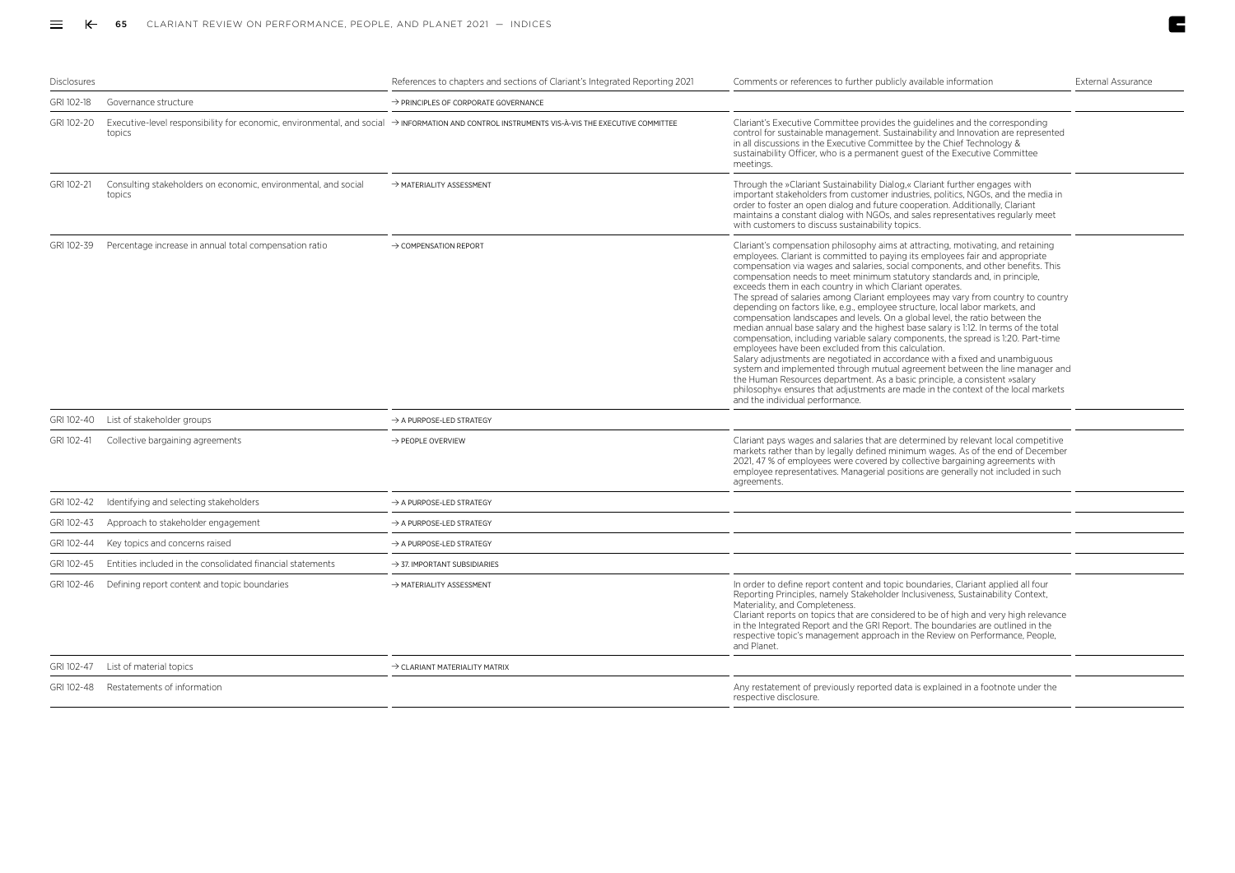| <b>Disclosures</b> |                                                                          | References to chapters and sections of Clariant's Integrated Reporting 2021                                                                                   | Comments or references to further publicly available information                                                                                                                                                                                                                                                                                                                                                                                                                                                                                                                                                                                                                                                                                                                                                                                                                                                                                                                                                                                                                                                                                                                                                                                              | <b>External Assurance</b> |
|--------------------|--------------------------------------------------------------------------|---------------------------------------------------------------------------------------------------------------------------------------------------------------|---------------------------------------------------------------------------------------------------------------------------------------------------------------------------------------------------------------------------------------------------------------------------------------------------------------------------------------------------------------------------------------------------------------------------------------------------------------------------------------------------------------------------------------------------------------------------------------------------------------------------------------------------------------------------------------------------------------------------------------------------------------------------------------------------------------------------------------------------------------------------------------------------------------------------------------------------------------------------------------------------------------------------------------------------------------------------------------------------------------------------------------------------------------------------------------------------------------------------------------------------------------|---------------------------|
| GRI 102-18         | Governance structure                                                     | $\rightarrow$ PRINCIPLES OF CORPORATE GOVERNANCE                                                                                                              |                                                                                                                                                                                                                                                                                                                                                                                                                                                                                                                                                                                                                                                                                                                                                                                                                                                                                                                                                                                                                                                                                                                                                                                                                                                               |                           |
| GRI 102-20         | topics                                                                   | $E$ xecutive-level responsibility for economic, environmental, and social $\rightarrow$ INFORMATION AND CONTROL INSTRUMENTS VIS-A-VIS THE EXECUTIVE COMMITTEE | Clariant's Executive Committee provides the guidelines and the corresponding<br>control for sustainable management. Sustainability and Innovation are represented<br>in all discussions in the Executive Committee by the Chief Technology &<br>sustainability Officer, who is a permanent quest of the Executive Committee<br>meetings.                                                                                                                                                                                                                                                                                                                                                                                                                                                                                                                                                                                                                                                                                                                                                                                                                                                                                                                      |                           |
| GRI 102-21         | Consulting stakeholders on economic, environmental, and social<br>topics | $\rightarrow$ MATERIALITY ASSESSMENT                                                                                                                          | Through the »Clariant Sustainability Dialog,« Clariant further engages with<br>important stakeholders from customer industries, politics, NGOs, and the media in<br>order to foster an open dialog and future cooperation. Additionally, Clariant<br>maintains a constant dialog with NGOs, and sales representatives regularly meet<br>with customers to discuss sustainability topics.                                                                                                                                                                                                                                                                                                                                                                                                                                                                                                                                                                                                                                                                                                                                                                                                                                                                      |                           |
| GRI 102-39         | Percentage increase in annual total compensation ratio                   | $\rightarrow$ COMPENSATION REPORT                                                                                                                             | Clariant's compensation philosophy aims at attracting, motivating, and retaining<br>employees. Clariant is committed to paying its employees fair and appropriate<br>compensation via wages and salaries, social components, and other benefits. This<br>compensation needs to meet minimum statutory standards and, in principle,<br>exceeds them in each country in which Clariant operates.<br>The spread of salaries among Clariant employees may vary from country to country<br>depending on factors like, e.g., employee structure, local labor markets, and<br>compensation landscapes and levels. On a global level, the ratio between the<br>median annual base salary and the highest base salary is 1:12. In terms of the total<br>compensation, including variable salary components, the spread is 1:20. Part-time<br>employees have been excluded from this calculation.<br>Salary adjustments are negotiated in accordance with a fixed and unambiguous<br>system and implemented through mutual agreement between the line manager and<br>the Human Resources department. As a basic principle, a consistent »salary<br>philosophy« ensures that adjustments are made in the context of the local markets<br>and the individual performance. |                           |
| GRI 102-40         | List of stakeholder groups                                               | A PURPOSE-LED STRATEGY                                                                                                                                        |                                                                                                                                                                                                                                                                                                                                                                                                                                                                                                                                                                                                                                                                                                                                                                                                                                                                                                                                                                                                                                                                                                                                                                                                                                                               |                           |
| GRI 102-41         | Collective bargaining agreements                                         | $\rightarrow$ PEOPLE OVERVIEW                                                                                                                                 | Clariant pays wages and salaries that are determined by relevant local competitive<br>markets rather than by legally defined minimum wages. As of the end of December<br>2021, 47 % of employees were covered by collective bargaining agreements with<br>employee representatives. Managerial positions are generally not included in such<br>agreements.                                                                                                                                                                                                                                                                                                                                                                                                                                                                                                                                                                                                                                                                                                                                                                                                                                                                                                    |                           |
| GRI 102-42         | Identifying and selecting stakeholders                                   | $\rightarrow$ A PURPOSE-LED STRATEGY                                                                                                                          |                                                                                                                                                                                                                                                                                                                                                                                                                                                                                                                                                                                                                                                                                                                                                                                                                                                                                                                                                                                                                                                                                                                                                                                                                                                               |                           |
| GRI 102-43         | Approach to stakeholder engagement                                       | $\rightarrow$ A PURPOSE-LED STRATEGY                                                                                                                          |                                                                                                                                                                                                                                                                                                                                                                                                                                                                                                                                                                                                                                                                                                                                                                                                                                                                                                                                                                                                                                                                                                                                                                                                                                                               |                           |
| GRI 102-44         | Key topics and concerns raised                                           | $\rightarrow$ A PURPOSE-LED STRATEGY                                                                                                                          |                                                                                                                                                                                                                                                                                                                                                                                                                                                                                                                                                                                                                                                                                                                                                                                                                                                                                                                                                                                                                                                                                                                                                                                                                                                               |                           |
| GRI 102-45         | Entities included in the consolidated financial statements               | $\rightarrow$ 37. IMPORTANT SUBSIDIARIES                                                                                                                      |                                                                                                                                                                                                                                                                                                                                                                                                                                                                                                                                                                                                                                                                                                                                                                                                                                                                                                                                                                                                                                                                                                                                                                                                                                                               |                           |
| GRI 102-46         | Defining report content and topic boundaries                             | > MATERIALITY ASSESSMENT                                                                                                                                      | In order to define report content and topic boundaries, Clariant applied all four<br>Reporting Principles, namely Stakeholder Inclusiveness, Sustainability Context,<br>Materiality, and Completeness.<br>Clariant reports on topics that are considered to be of high and very high relevance<br>in the Integrated Report and the GRI Report. The boundaries are outlined in the<br>respective topic's management approach in the Review on Performance, People,<br>and Planet.                                                                                                                                                                                                                                                                                                                                                                                                                                                                                                                                                                                                                                                                                                                                                                              |                           |
| GRI 102-47         | List of material topics                                                  | $\rightarrow$ CLARIANT MATERIALITY MATRIX                                                                                                                     |                                                                                                                                                                                                                                                                                                                                                                                                                                                                                                                                                                                                                                                                                                                                                                                                                                                                                                                                                                                                                                                                                                                                                                                                                                                               |                           |
| GRI 102-48         | Restatements of information                                              |                                                                                                                                                               | Any restatement of previously reported data is explained in a footnote under the<br>respective disclosure.                                                                                                                                                                                                                                                                                                                                                                                                                                                                                                                                                                                                                                                                                                                                                                                                                                                                                                                                                                                                                                                                                                                                                    |                           |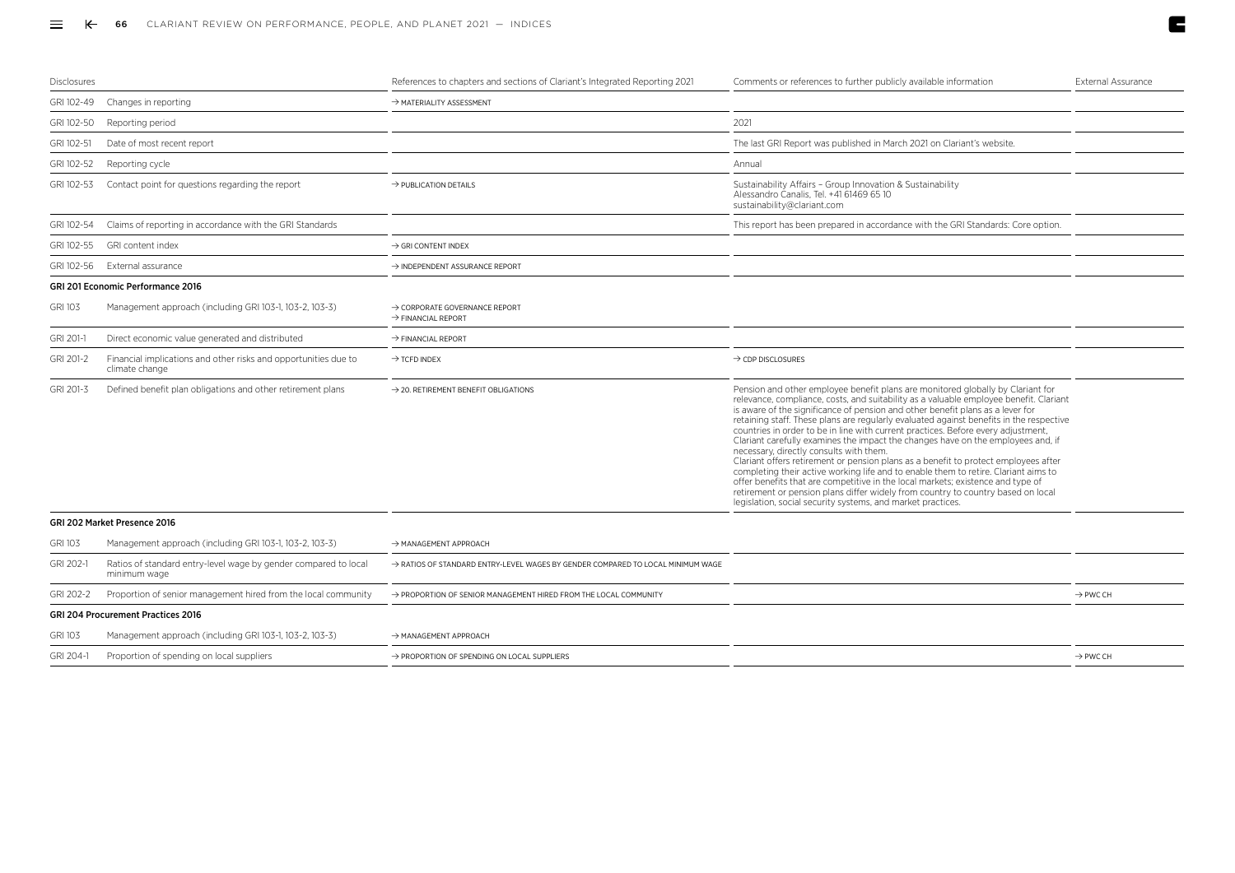| Disclosures    |                                                                                   | References to chapters and sections of Clariant's Integrated Reporting 2021     | Comments or references to further publicly available information                                                                                                                                                                                                                                                                                                                                                                                                                                                                                                                                                                                                                                                                                                                                                                                                                                                                                                                               | External Assurance   |
|----------------|-----------------------------------------------------------------------------------|---------------------------------------------------------------------------------|------------------------------------------------------------------------------------------------------------------------------------------------------------------------------------------------------------------------------------------------------------------------------------------------------------------------------------------------------------------------------------------------------------------------------------------------------------------------------------------------------------------------------------------------------------------------------------------------------------------------------------------------------------------------------------------------------------------------------------------------------------------------------------------------------------------------------------------------------------------------------------------------------------------------------------------------------------------------------------------------|----------------------|
| GRI 102-49     | Changes in reporting                                                              | $\rightarrow$ MATERIALITY ASSESSMENT                                            |                                                                                                                                                                                                                                                                                                                                                                                                                                                                                                                                                                                                                                                                                                                                                                                                                                                                                                                                                                                                |                      |
| GRI 102-50     | Reporting period                                                                  |                                                                                 | 2021                                                                                                                                                                                                                                                                                                                                                                                                                                                                                                                                                                                                                                                                                                                                                                                                                                                                                                                                                                                           |                      |
| GRI 102-51     | Date of most recent report                                                        |                                                                                 | The last GRI Report was published in March 2021 on Clariant's website.                                                                                                                                                                                                                                                                                                                                                                                                                                                                                                                                                                                                                                                                                                                                                                                                                                                                                                                         |                      |
| GRI 102-52     | Reporting cycle                                                                   |                                                                                 | Annual                                                                                                                                                                                                                                                                                                                                                                                                                                                                                                                                                                                                                                                                                                                                                                                                                                                                                                                                                                                         |                      |
| GRI 102-53     | Contact point for questions regarding the report                                  | $\rightarrow$ PUBLICATION DETAILS                                               | Sustainability Affairs - Group Innovation & Sustainability<br>Alessandro Canalis, Tel. +41 61469 65 10<br>sustainability@clariant.com                                                                                                                                                                                                                                                                                                                                                                                                                                                                                                                                                                                                                                                                                                                                                                                                                                                          |                      |
| GRI 102-54     | Claims of reporting in accordance with the GRI Standards                          |                                                                                 | This report has been prepared in accordance with the GRI Standards: Core option.                                                                                                                                                                                                                                                                                                                                                                                                                                                                                                                                                                                                                                                                                                                                                                                                                                                                                                               |                      |
| GRI 102-55     | GRI content index                                                                 | $\rightarrow$ GRI CONTENT INDEX                                                 |                                                                                                                                                                                                                                                                                                                                                                                                                                                                                                                                                                                                                                                                                                                                                                                                                                                                                                                                                                                                |                      |
| GRI 102-56     | External assurance                                                                | $\rightarrow$ INDEPENDENT ASSURANCE REPORT                                      |                                                                                                                                                                                                                                                                                                                                                                                                                                                                                                                                                                                                                                                                                                                                                                                                                                                                                                                                                                                                |                      |
|                | <b>GRI 201 Economic Performance 2016</b>                                          |                                                                                 |                                                                                                                                                                                                                                                                                                                                                                                                                                                                                                                                                                                                                                                                                                                                                                                                                                                                                                                                                                                                |                      |
| <b>GRI 103</b> | Management approach (including GRI 103-1, 103-2, 103-3)                           | $\rightarrow$ CORPORATE GOVERNANCE REPORT<br>$\rightarrow$ FINANCIAL REPORT     |                                                                                                                                                                                                                                                                                                                                                                                                                                                                                                                                                                                                                                                                                                                                                                                                                                                                                                                                                                                                |                      |
| GRI 201-1      | Direct economic value generated and distributed                                   | $\rightarrow$ FINANCIAL REPORT                                                  |                                                                                                                                                                                                                                                                                                                                                                                                                                                                                                                                                                                                                                                                                                                                                                                                                                                                                                                                                                                                |                      |
| GRI 201-2      | Financial implications and other risks and opportunities due to<br>climate change | $\rightarrow$ TCFD INDEX                                                        | $\rightarrow$ CDP DISCLOSURES                                                                                                                                                                                                                                                                                                                                                                                                                                                                                                                                                                                                                                                                                                                                                                                                                                                                                                                                                                  |                      |
| GRI 201-3      | Defined benefit plan obligations and other retirement plans                       | $\rightarrow$ 20. RETIREMENT BENEFIT OBLIGATIONS                                | Pension and other employee benefit plans are monitored globally by Clariant for<br>relevance, compliance, costs, and suitability as a valuable employee benefit. Clariant<br>is aware of the significance of pension and other benefit plans as a lever for<br>retaining staff. These plans are regularly evaluated against benefits in the respective<br>countries in order to be in line with current practices. Before every adjustment,<br>Clariant carefully examines the impact the changes have on the employees and, if<br>necessary, directly consults with them.<br>Clariant offers retirement or pension plans as a benefit to protect employees after<br>completing their active working life and to enable them to retire. Clariant aims to<br>offer benefits that are competitive in the local markets; existence and type of<br>retirement or pension plans differ widely from country to country based on local<br>legislation, social security systems, and market practices. |                      |
|                | GRI 202 Market Presence 2016                                                      |                                                                                 |                                                                                                                                                                                                                                                                                                                                                                                                                                                                                                                                                                                                                                                                                                                                                                                                                                                                                                                                                                                                |                      |
| <b>GRI 103</b> | Management approach (including GRI 103-1, 103-2, 103-3)                           | $\rightarrow$ MANAGEMENT APPROACH                                               |                                                                                                                                                                                                                                                                                                                                                                                                                                                                                                                                                                                                                                                                                                                                                                                                                                                                                                                                                                                                |                      |
| GRI 202-1      | Ratios of standard entry-level wage by gender compared to local<br>minimum wage   | > RATIOS OF STANDARD ENTRY-LEVEL WAGES BY GENDER COMPARED TO LOCAL MINIMUM WAGE |                                                                                                                                                                                                                                                                                                                                                                                                                                                                                                                                                                                                                                                                                                                                                                                                                                                                                                                                                                                                |                      |
| GRI 202-2      | Proportion of senior management hired from the local community                    | > PROPORTION OF SENIOR MANAGEMENT HIRED FROM THE LOCAL COMMUNITY                |                                                                                                                                                                                                                                                                                                                                                                                                                                                                                                                                                                                                                                                                                                                                                                                                                                                                                                                                                                                                | $\rightarrow$ PWC CH |
|                | <b>GRI 204 Procurement Practices 2016</b>                                         |                                                                                 |                                                                                                                                                                                                                                                                                                                                                                                                                                                                                                                                                                                                                                                                                                                                                                                                                                                                                                                                                                                                |                      |
| <b>GRI 103</b> | Management approach (including GRI 103-1, 103-2, 103-3)                           | $\rightarrow$ MANAGEMENT APPROACH                                               |                                                                                                                                                                                                                                                                                                                                                                                                                                                                                                                                                                                                                                                                                                                                                                                                                                                                                                                                                                                                |                      |
| GRI 204-1      | Proportion of spending on local suppliers                                         | $\rightarrow$ PROPORTION OF SPENDING ON LOCAL SUPPLIERS                         |                                                                                                                                                                                                                                                                                                                                                                                                                                                                                                                                                                                                                                                                                                                                                                                                                                                                                                                                                                                                | $\rightarrow$ PWC CH |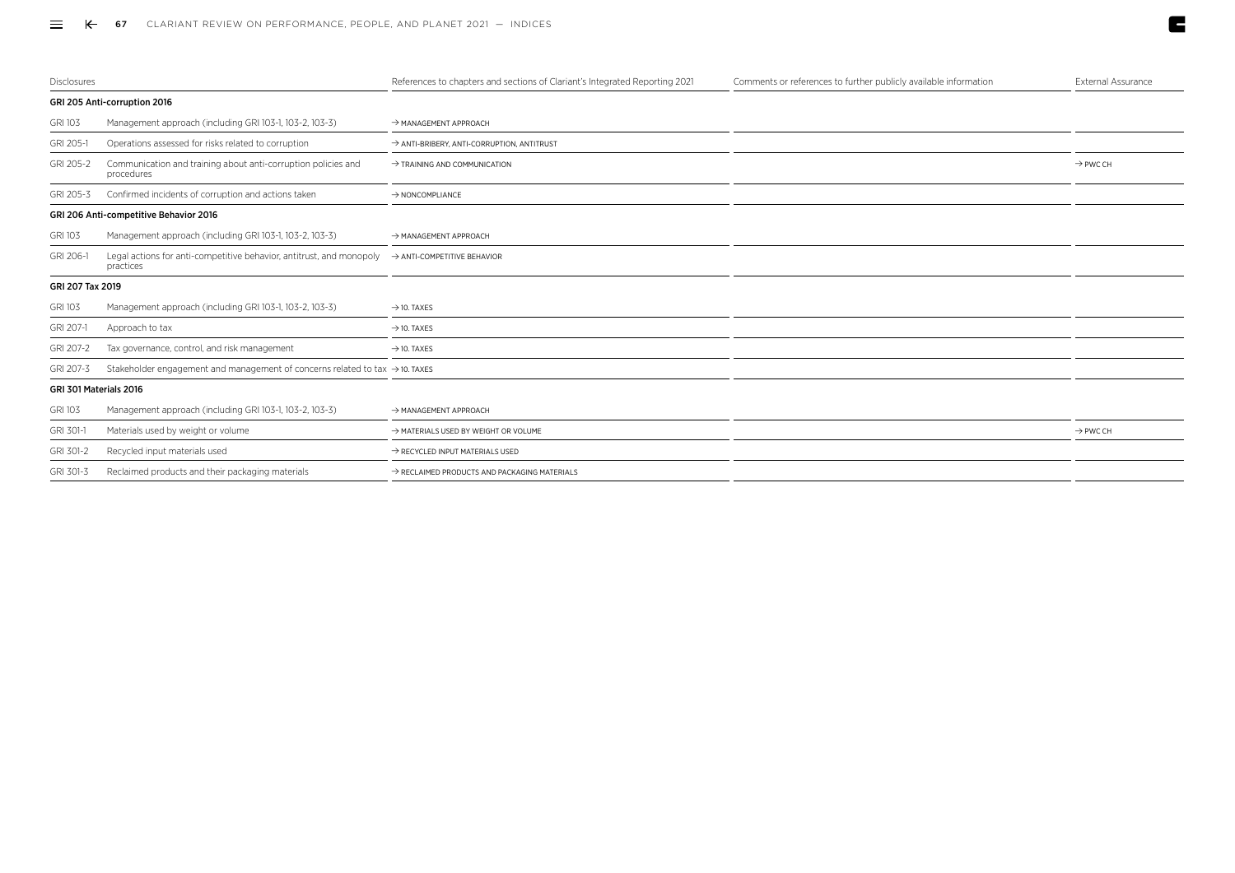| <b>Disclosures</b>     |                                                                                          | References to chapters and sections of Clariant's Integrated Reporting 2021 | Comments or references to further publicly available information | External Assurance   |
|------------------------|------------------------------------------------------------------------------------------|-----------------------------------------------------------------------------|------------------------------------------------------------------|----------------------|
|                        | GRI 205 Anti-corruption 2016                                                             |                                                                             |                                                                  |                      |
| <b>GRI 103</b>         | Management approach (including GRI 103-1, 103-2, 103-3)                                  | A MANAGEMENT APPROACH                                                       |                                                                  |                      |
| GRI 205-1              | Operations assessed for risks related to corruption                                      | > ANTI-BRIBERY, ANTI-CORRUPTION, ANTITRUST                                  |                                                                  |                      |
| GRI 205-2              | Communication and training about anti-corruption policies and<br>procedures              | $\rightarrow$ TRAINING AND COMMUNICATION                                    |                                                                  | $\rightarrow$ PWC CH |
| GRI 205-3              | Confirmed incidents of corruption and actions taken                                      | $\rightarrow$ NONCOMPLIANCE                                                 |                                                                  |                      |
|                        | GRI 206 Anti-competitive Behavior 2016                                                   |                                                                             |                                                                  |                      |
| <b>GRI 103</b>         | Management approach (including GRI 103-1, 103-2, 103-3)                                  | $\rightarrow$ MANAGEMENT APPROACH                                           |                                                                  |                      |
| GRI 206-1              | Legal actions for anti-competitive behavior, antitrust, and monopoly<br>practices        | ANTI-COMPETITIVE BEHAVIOR                                                   |                                                                  |                      |
| GRI 207 Tax 2019       |                                                                                          |                                                                             |                                                                  |                      |
| <b>GRI 103</b>         | Management approach (including GRI 103-1, 103-2, 103-3)                                  | $\rightarrow$ 10. TAXES                                                     |                                                                  |                      |
| GRI 207-1              | Approach to tax                                                                          | $\rightarrow$ 10. TAXES                                                     |                                                                  |                      |
| GRI 207-2              | Tax governance, control, and risk management                                             | $\rightarrow$ 10. TAXES                                                     |                                                                  |                      |
| GRI 207-3              | Stakeholder engagement and management of concerns related to tax $\rightarrow$ 10. TAXES |                                                                             |                                                                  |                      |
| GRI 301 Materials 2016 |                                                                                          |                                                                             |                                                                  |                      |
| <b>GRI 103</b>         | Management approach (including GRI 103-1, 103-2, 103-3)                                  | A MANAGEMENT APPROACH                                                       |                                                                  |                      |
| GRI 301-1              | Materials used by weight or volume                                                       | A MATERIALS USED BY WEIGHT OR VOLUME                                        |                                                                  | $\rightarrow$ PWC CH |
| GRI 301-2              | Recycled input materials used                                                            | A RECYCLED INPUT MATERIALS USED                                             |                                                                  |                      |
| GRI 301-3              | Reclaimed products and their packaging materials                                         | $\rightarrow$ RECLAIMED PRODUCTS AND PACKAGING MATERIALS                    |                                                                  |                      |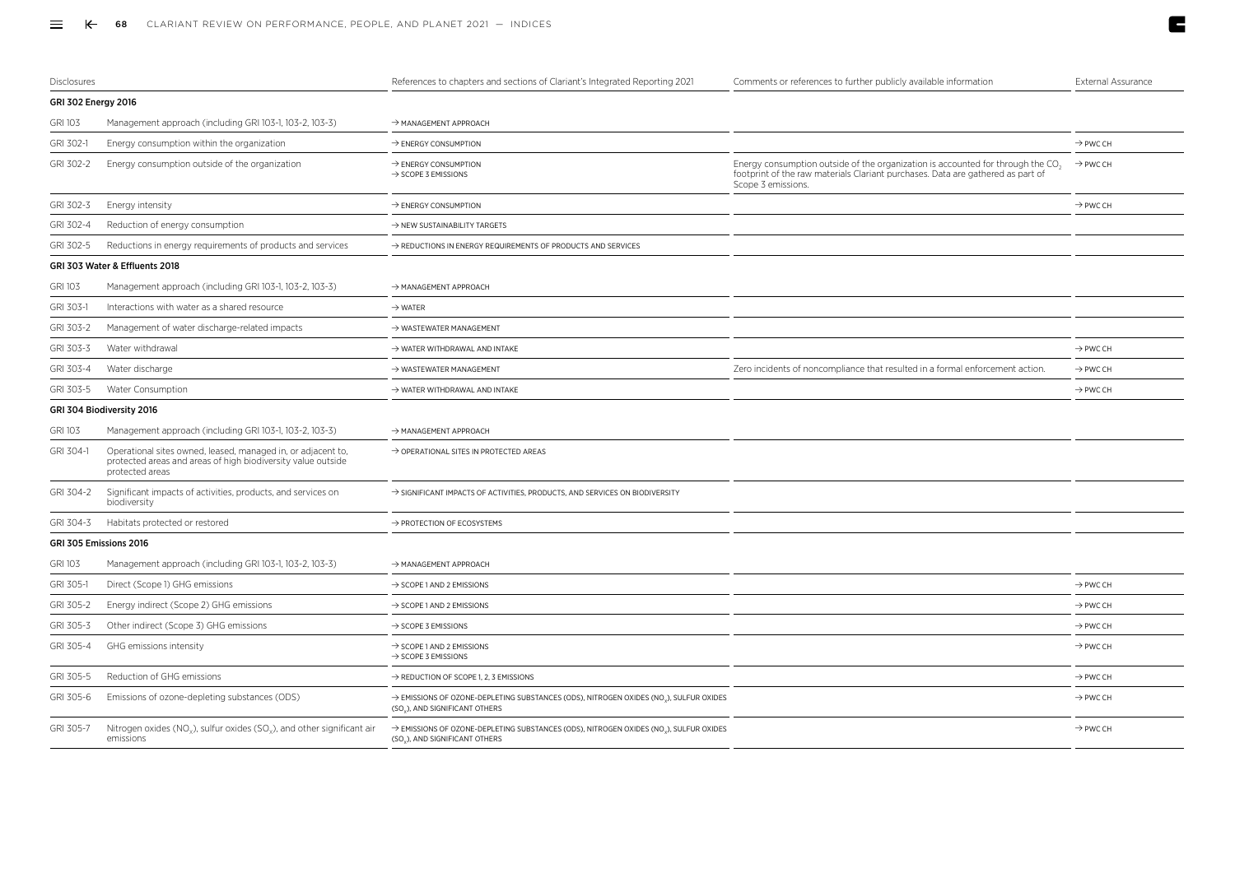| Disclosures         |                                                                                                                                                 | References to chapters and sections of Clariant's Integrated Reporting 2021                                            | Comments or references to further publicly available information                                                                                                                                    | <b>External Assurance</b> |
|---------------------|-------------------------------------------------------------------------------------------------------------------------------------------------|------------------------------------------------------------------------------------------------------------------------|-----------------------------------------------------------------------------------------------------------------------------------------------------------------------------------------------------|---------------------------|
| GRI 302 Energy 2016 |                                                                                                                                                 |                                                                                                                        |                                                                                                                                                                                                     |                           |
| <b>GRI 103</b>      | Management approach (including GRI 103-1, 103-2, 103-3)                                                                                         | $\rightarrow$ MANAGEMENT APPROACH                                                                                      |                                                                                                                                                                                                     |                           |
| GRI 302-1           | Energy consumption within the organization                                                                                                      | $\rightarrow$ ENERGY CONSUMPTION                                                                                       |                                                                                                                                                                                                     | $\rightarrow$ PWC CH      |
| GRI 302-2           | Energy consumption outside of the organization                                                                                                  | $\rightarrow$ ENERGY CONSUMPTION<br>$\rightarrow$ SCOPE 3 EMISSIONS                                                    | Energy consumption outside of the organization is accounted for through the CO <sub>2</sub><br>footprint of the raw materials Clariant purchases. Data are gathered as part of<br>Scope 3 emissions | $\rightarrow$ PWC CH      |
| GRI 302-3           | Energy intensity                                                                                                                                | > ENERGY CONSUMPTION                                                                                                   |                                                                                                                                                                                                     | $\rightarrow$ PWC CH      |
| GRI 302-4           | Reduction of energy consumption                                                                                                                 | $\rightarrow$ NEW SUSTAINABILITY TARGETS                                                                               |                                                                                                                                                                                                     |                           |
| GRI 302-5           | Reductions in energy requirements of products and services                                                                                      | $\rightarrow$ REDUCTIONS IN ENERGY REQUIREMENTS OF PRODUCTS AND SERVICES                                               |                                                                                                                                                                                                     |                           |
|                     | GRI 303 Water & Effluents 2018                                                                                                                  |                                                                                                                        |                                                                                                                                                                                                     |                           |
| GRI 103             | Management approach (including GRI 103-1, 103-2, 103-3)                                                                                         | $\rightarrow$ MANAGEMENT APPROACH                                                                                      |                                                                                                                                                                                                     |                           |
| GRI 303-1           | Interactions with water as a shared resource                                                                                                    | $\rightarrow$ WATER                                                                                                    |                                                                                                                                                                                                     |                           |
| GRI 303-2           | Management of water discharge-related impacts                                                                                                   | $\rightarrow$ WASTEWATER MANAGEMENT                                                                                    |                                                                                                                                                                                                     |                           |
| GRI 303-3           | Water withdrawal                                                                                                                                | $\rightarrow$ WATER WITHDRAWAL AND INTAKE                                                                              |                                                                                                                                                                                                     | $\rightarrow$ PWC CH      |
| GRI 303-4           | Water discharge                                                                                                                                 | $\rightarrow$ WASTEWATER MANAGEMENT                                                                                    | Zero incidents of noncompliance that resulted in a formal enforcement action.                                                                                                                       | $\rightarrow$ PWC CH      |
| GRI 303-5           | Water Consumption                                                                                                                               | $\rightarrow$ WATER WITHDRAWAL AND INTAKE                                                                              |                                                                                                                                                                                                     | $\rightarrow$ PWC CH      |
|                     | GRI 304 Biodiversity 2016                                                                                                                       |                                                                                                                        |                                                                                                                                                                                                     |                           |
| GRI 103             | Management approach (including GRI 103-1, 103-2, 103-3)                                                                                         | → MANAGEMENT APPROACH                                                                                                  |                                                                                                                                                                                                     |                           |
| GRI 304-1           | Operational sites owned, leased, managed in, or adjacent to,<br>protected areas and areas of high biodiversity value outside<br>protected areas | $\rightarrow$ OPERATIONAL SITES IN PROTECTED AREAS                                                                     |                                                                                                                                                                                                     |                           |
| GRI 304-2           | Significant impacts of activities, products, and services on<br>biodiversity                                                                    | $\rightarrow$ SIGNIFICANT IMPACTS OF ACTIVITIES, PRODUCTS, AND SERVICES ON BIODIVERSITY                                |                                                                                                                                                                                                     |                           |
| GRI 304-3           | Habitats protected or restored                                                                                                                  | > PROTECTION OF ECOSYSTEMS                                                                                             |                                                                                                                                                                                                     |                           |
|                     | GRI 305 Emissions 2016                                                                                                                          |                                                                                                                        |                                                                                                                                                                                                     |                           |
| <b>GRI 103</b>      | Management approach (including GRI 103-1, 103-2, 103-3)                                                                                         | $\rightarrow$ MANAGEMENT APPROACH                                                                                      |                                                                                                                                                                                                     |                           |
| GRI 305-1           | Direct (Scope 1) GHG emissions                                                                                                                  | $\rightarrow$ SCOPE 1 AND 2 EMISSIONS                                                                                  |                                                                                                                                                                                                     | $\rightarrow$ PWC CH      |
| GRI 305-2           | Energy indirect (Scope 2) GHG emissions                                                                                                         | $\rightarrow$ SCOPE 1 AND 2 EMISSIONS                                                                                  |                                                                                                                                                                                                     | $\rightarrow$ PWC CH      |
| GRI 305-3           | Other indirect (Scope 3) GHG emissions                                                                                                          | $\rightarrow$ SCOPE 3 EMISSIONS                                                                                        |                                                                                                                                                                                                     | $\rightarrow$ PWC CH      |
| GRI 305-4           | GHG emissions intensity                                                                                                                         | $\rightarrow$ SCOPE 1 AND 2 EMISSIONS<br>$\rightarrow$ SCOPE 3 EMISSIONS                                               |                                                                                                                                                                                                     | $\rightarrow$ PWC CH      |
| GRI 305-5           | Reduction of GHG emissions                                                                                                                      | $\rightarrow$ REDUCTION OF SCOPE 1, 2, 3 EMISSIONS                                                                     |                                                                                                                                                                                                     | $\rightarrow$ PWC CH      |
| GRI 305-6           | Emissions of ozone-depleting substances (ODS)                                                                                                   | → EMISSIONS OF OZONE-DEPLETING SUBSTANCES (ODS), NITROGEN OXIDES (NO.), SULFUR OXIDES<br>(SO.), AND SIGNIFICANT OTHERS |                                                                                                                                                                                                     | $\rightarrow$ PWC CH      |
| GRI 305-7           | Nitrogen oxides (NO <sub>v</sub> ), sulfur oxides (SO <sub>v</sub> ), and other significant air<br>emissions                                    | → EMISSIONS OF OZONE-DEPLETING SUBSTANCES (ODS), NITROGEN OXIDES (NO.), SULFUR OXIDES<br>(SO.), AND SIGNIFICANT OTHERS |                                                                                                                                                                                                     | $\rightarrow$ PWC CH      |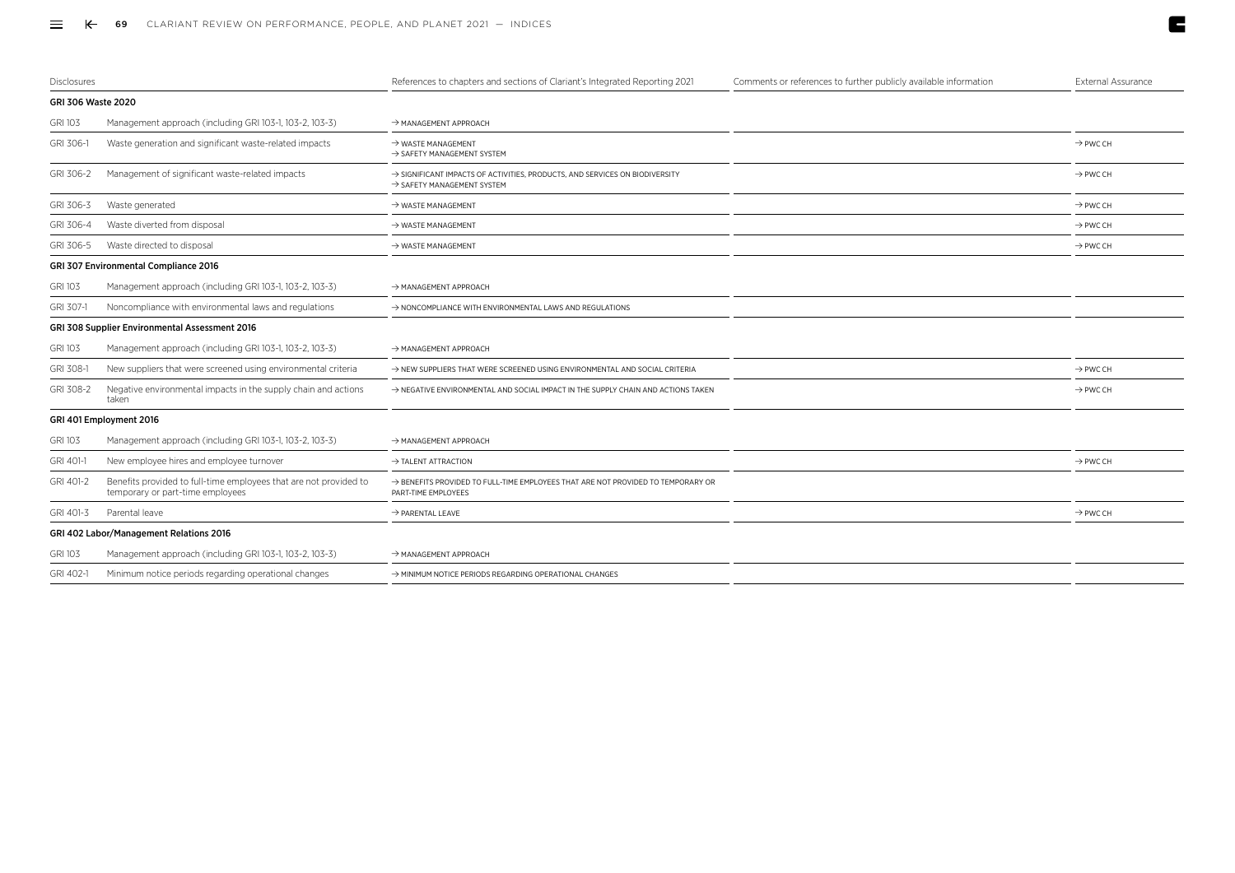| Disclosures        |                                                                                                       | References to chapters and sections of Clariant's Integrated Reporting 2021                                                       | Comments or references to further publicly available information | External Assurance   |
|--------------------|-------------------------------------------------------------------------------------------------------|-----------------------------------------------------------------------------------------------------------------------------------|------------------------------------------------------------------|----------------------|
| GRI 306 Waste 2020 |                                                                                                       |                                                                                                                                   |                                                                  |                      |
| <b>GRI 103</b>     | Management approach (including GRI 103-1, 103-2, 103-3)                                               | $\rightarrow$ MANAGEMENT APPROACH                                                                                                 |                                                                  |                      |
| GRI 306-1          | Waste generation and significant waste-related impacts                                                | $\rightarrow$ WASTE MANAGEMENT<br>$\rightarrow$ SAFETY MANAGEMENT SYSTEM                                                          |                                                                  | $\rightarrow$ PWC CH |
| GRI 306-2          | Management of significant waste-related impacts                                                       | $\rightarrow$ SIGNIFICANT IMPACTS OF ACTIVITIES, PRODUCTS, AND SERVICES ON BIODIVERSITY<br>$\rightarrow$ SAFETY MANAGEMENT SYSTEM |                                                                  | $\rightarrow$ PWC CH |
| GRI 306-3          | Waste generated                                                                                       | $\rightarrow$ WASTE MANAGEMENT                                                                                                    |                                                                  | $\rightarrow$ PWC CH |
| GRI 306-4          | Waste diverted from disposal                                                                          | $\rightarrow$ WASTE MANAGEMENT                                                                                                    |                                                                  | $\rightarrow$ PWC CH |
| GRI 306-5          | Waste directed to disposal                                                                            | $\rightarrow$ WASTE MANAGEMENT                                                                                                    |                                                                  | $\rightarrow$ PWC CH |
|                    | GRI 307 Environmental Compliance 2016                                                                 |                                                                                                                                   |                                                                  |                      |
| <b>GRI 103</b>     | Management approach (including GRI 103-1, 103-2, 103-3)                                               | $\rightarrow$ MANAGEMENT APPROACH                                                                                                 |                                                                  |                      |
| GRI 307-1          | Noncompliance with environmental laws and regulations                                                 | $\rightarrow$ NONCOMPLIANCE WITH ENVIRONMENTAL LAWS AND REGULATIONS                                                               |                                                                  |                      |
|                    | GRI 308 Supplier Environmental Assessment 2016                                                        |                                                                                                                                   |                                                                  |                      |
| <b>GRI 103</b>     | Management approach (including GRI 103-1, 103-2, 103-3)                                               | $\rightarrow$ MANAGEMENT APPROACH                                                                                                 |                                                                  |                      |
| GRI 308-1          | New suppliers that were screened using environmental criteria                                         | $\rightarrow$ NEW SUPPLIERS THAT WERE SCREENED USING ENVIRONMENTAL AND SOCIAL CRITERIA                                            |                                                                  | $\rightarrow$ PWC CH |
| GRI 308-2          | Negative environmental impacts in the supply chain and actions<br>taken                               | $\rightarrow$ NEGATIVE ENVIRONMENTAL AND SOCIAL IMPACT IN THE SUPPLY CHAIN AND ACTIONS TAKEN                                      |                                                                  | $\rightarrow$ PWC CH |
|                    | GRI 401 Employment 2016                                                                               |                                                                                                                                   |                                                                  |                      |
| <b>GRI 103</b>     | Management approach (including GRI 103-1, 103-2, 103-3)                                               | $\rightarrow$ MANAGEMENT APPROACH                                                                                                 |                                                                  |                      |
| GRI 401-1          | New employee hires and employee turnover                                                              | $\rightarrow$ TALENT ATTRACTION                                                                                                   |                                                                  | $\rightarrow$ PWC CH |
| GRI 401-2          | Benefits provided to full-time employees that are not provided to<br>temporary or part-time employees | $\rightarrow$ BENEFITS PROVIDED TO FULL-TIME EMPLOYEES THAT ARE NOT PROVIDED TO TEMPORARY OR<br>PART-TIME EMPLOYEES               |                                                                  |                      |
| GRI 401-3          | Parental leave                                                                                        | $\rightarrow$ PARENTAL LEAVE                                                                                                      |                                                                  | $\rightarrow$ PWC CH |
|                    | GRI 402 Labor/Management Relations 2016                                                               |                                                                                                                                   |                                                                  |                      |
| <b>GRI 103</b>     | Management approach (including GRI 103-1, 103-2, 103-3)                                               | $\rightarrow$ MANAGEMENT APPROACH                                                                                                 |                                                                  |                      |
| GRI 402-1          | Minimum notice periods regarding operational changes                                                  | $\rightarrow$ MINIMUM NOTICE PERIODS REGARDING OPERATIONAL CHANGES                                                                |                                                                  |                      |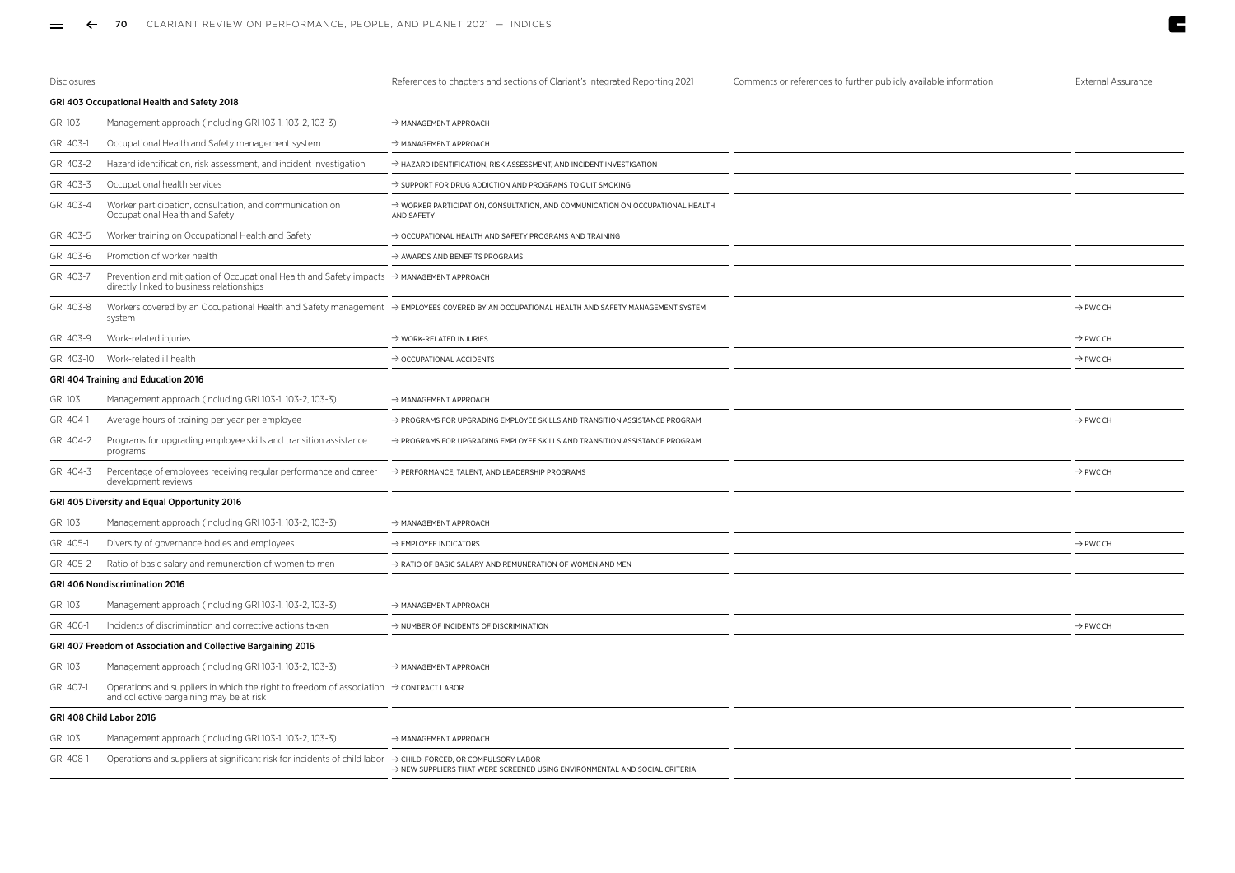| Disclosures    |                                                                                                                                                    | References to chapters and sections of Clariant's Integrated Reporting 2021                                                                | Comments or references to further publicly available information | <b>External Assurance</b> |
|----------------|----------------------------------------------------------------------------------------------------------------------------------------------------|--------------------------------------------------------------------------------------------------------------------------------------------|------------------------------------------------------------------|---------------------------|
|                | GRI 403 Occupational Health and Safety 2018                                                                                                        |                                                                                                                                            |                                                                  |                           |
| <b>GRI 103</b> | Management approach (including GRI 103-1, 103-2, 103-3)                                                                                            | $\rightarrow$ MANAGEMENT APPROACH                                                                                                          |                                                                  |                           |
| GRI 403-1      | Occupational Health and Safety management system                                                                                                   | $\rightarrow$ MANAGEMENT APPROACH                                                                                                          |                                                                  |                           |
| GRI 403-2      | Hazard identification, risk assessment, and incident investigation                                                                                 | $\rightarrow$ HAZARD IDENTIFICATION, RISK ASSESSMENT, AND INCIDENT INVESTIGATION                                                           |                                                                  |                           |
| GRI 403-3      | Occupational health services                                                                                                                       | $\rightarrow$ SUPPORT FOR DRUG ADDICTION AND PROGRAMS TO QUIT SMOKING                                                                      |                                                                  |                           |
| GRI 403-4      | Worker participation, consultation, and communication on<br>Occupational Health and Safety                                                         | > WORKER PARTICIPATION, CONSULTATION, AND COMMUNICATION ON OCCUPATIONAL HEALTH<br>AND SAFETY                                               |                                                                  |                           |
| GRI 403-5      | Worker training on Occupational Health and Safety                                                                                                  | $\rightarrow$ OCCUPATIONAL HEALTH AND SAFETY PROGRAMS AND TRAINING                                                                         |                                                                  |                           |
| GRI 403-6      | Promotion of worker health                                                                                                                         | $\rightarrow$ AWARDS AND BENEFITS PROGRAMS                                                                                                 |                                                                  |                           |
| GRI 403-7      | Prevention and mitigation of Occupational Health and Safety impacts $\rightarrow$ MANAGEMENT APPROACH<br>directly linked to business relationships |                                                                                                                                            |                                                                  |                           |
| GRI 403-8      | system                                                                                                                                             | Workers covered by an Occupational Health and Safety management → EMPLOYEES COVERED BY AN OCCUPATIONAL HEALTH AND SAFETY MANAGEMENT SYSTEM |                                                                  | $\rightarrow$ PWC CH      |
| GRI 403-9      | Work-related injuries                                                                                                                              | $\rightarrow$ WORK-RELATED INJURIES                                                                                                        |                                                                  | $\rightarrow$ PWC CH      |
| GRI 403-10     | Work-related ill health                                                                                                                            | $\rightarrow$ OCCUPATIONAL ACCIDENTS                                                                                                       |                                                                  | $\rightarrow$ PWC CH      |
|                | GRI 404 Training and Education 2016                                                                                                                |                                                                                                                                            |                                                                  |                           |
| GRI 103        | Management approach (including GRI 103-1, 103-2, 103-3)                                                                                            | $\rightarrow$ MANAGEMENT APPROACH                                                                                                          |                                                                  |                           |
| GRI 404-1      | Average hours of training per year per employee                                                                                                    | > PROGRAMS FOR UPGRADING EMPLOYEE SKILLS AND TRANSITION ASSISTANCE PROGRAM                                                                 |                                                                  | $\rightarrow$ PWC CH      |
| GRI 404-2      | Programs for upgrading employee skills and transition assistance<br>programs                                                                       | > PROGRAMS FOR UPGRADING EMPLOYEE SKILLS AND TRANSITION ASSISTANCE PROGRAM                                                                 |                                                                  |                           |
| GRI 404-3      | Percentage of employees receiving regular performance and career<br>development reviews                                                            | $\rightarrow$ PERFORMANCE, TALENT, AND LEADERSHIP PROGRAMS                                                                                 |                                                                  | $\rightarrow$ PWC CH      |
|                | GRI 405 Diversity and Equal Opportunity 2016                                                                                                       |                                                                                                                                            |                                                                  |                           |
| <b>GRI 103</b> | Management approach (including GRI 103-1, 103-2, 103-3)                                                                                            | $\rightarrow$ MANAGEMENT APPROACH                                                                                                          |                                                                  |                           |
| GRI 405-1      | Diversity of governance bodies and employees                                                                                                       | $\rightarrow$ EMPLOYEE INDICATORS                                                                                                          |                                                                  | $\rightarrow$ PWC CH      |
| GRI 405-2      | Ratio of basic salary and remuneration of women to men                                                                                             | > RATIO OF BASIC SALARY AND REMUNERATION OF WOMEN AND MEN                                                                                  |                                                                  |                           |
|                | <b>GRI 406 Nondiscrimination 2016</b>                                                                                                              |                                                                                                                                            |                                                                  |                           |
| GRI 103        | Management approach (including GRI 103-1, 103-2, 103-3)                                                                                            | $\rightarrow$ MANAGEMENT APPROACH                                                                                                          |                                                                  |                           |
| GRI 406-1      | Incidents of discrimination and corrective actions taken                                                                                           | > NUMBER OF INCIDENTS OF DISCRIMINATION                                                                                                    |                                                                  | $\rightarrow$ PWC CH      |
|                | GRI 407 Freedom of Association and Collective Bargaining 2016                                                                                      |                                                                                                                                            |                                                                  |                           |
| <b>GRI 103</b> | Management approach (including GRI 103-1, 103-2, 103-3)                                                                                            | $\rightarrow$ MANAGEMENT APPROACH                                                                                                          |                                                                  |                           |
| GRI 407-1      | Operations and suppliers in which the right to freedom of association $\rightarrow$ CONTRACT LABOR<br>and collective bargaining may be at risk     |                                                                                                                                            |                                                                  |                           |
|                | GRI 408 Child Labor 2016                                                                                                                           |                                                                                                                                            |                                                                  |                           |
| <b>GRI 103</b> | Management approach (including GRI 103-1, 103-2, 103-3)                                                                                            | $\rightarrow$ MANAGEMENT APPROACH                                                                                                          |                                                                  |                           |
| GRI 408-1      | Operations and suppliers at significant risk for incidents of child labor $\rightarrow$ CHILD, FORCED, OR COMPULSORY LABOR                         | $\rightarrow$ NEW SUPPLIERS THAT WERE SCREENED USING ENVIRONMENTAL AND SOCIAL CRITERIA                                                     |                                                                  |                           |